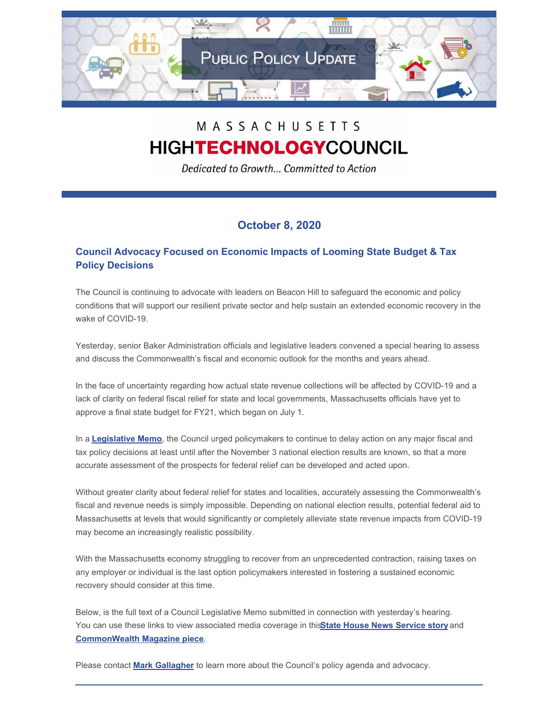

# MASSACHUSETTS **HIGHTECHNOLOGYCOUNCIL**

Dedicated to Growth... Committed to Action

## **October 8, 2020**

### **Council Advocacy Focused on Economic Impacts of Looming State Budget & Tax Policy Decisions**

The Council is continuing to advocate with leaders on Beacon Hill to safeguard the economic and policy conditions that will support our resilient private sector and help sustain an extended economic recovery in the wake of COVID-19.

Yesterday, senior Baker Administration officials and legislative leaders convened a special hearing to assess and discuss the Commonwealth's fiscal and economic outlook for the months and years ahead.

In the face of uncertainty regarding how actual state revenue collections will be affected by COVID-19 and a lack of clarity on federal fiscal relief for state and local governments, Massachusetts officials have yet to approve a final state budget for FY21, which began on July 1.

In a **[Legislative](http://www.mhtc.org/wp-content/uploads/2020/10/Memo-to-ANF-SWM-HWM-re-Fiscal-and-Econ.-Outlook-10.7.20.pdf) Memo**, the Council urged policymakers to continue to delay action on any major fiscal and tax policy decisions at least until after the November 3 national election results are known, so that a more accurate assessment of the prospects for federal relief can be developed and acted upon.

Without greater clarity about federal relief for states and localities, accurately assessing the Commonwealth's fiscal and revenue needs is simply impossible. Depending on national election results, potential federal aid to Massachusetts at levels that would significantly or completely alleviate state revenue impacts from COVID-19 may become an increasingly realistic possibility.

With the Massachusetts economy struggling to recover from an unprecedented contraction, raising taxes on any employer or individual is the last option policymakers interested in fostering a sustained economic recovery should consider at this time.

Below, is the full text of a Council Legislative Memo submitted in connection with yesterday's hearing. You can use these links to view associated media coverage in this**State House News [Service](http://www.mhtc.org/wp-content/uploads/2020/10/SHNS-Council_-Tax-First-Approach-Would-Threaten-Jobs-Employers-10.7.20.pdf) story** and **[CommonWealth](http://www.mhtc.org/wp-content/uploads/2020/10/CommonWealth_Lobbying-Begins-on-State-Budget-10.7.20.pdf) Magazine piece**.

Please contact **Mark [Gallagher](mailto:mark@mhtc.org)** to learn more about the Council's policy agenda and advocacy.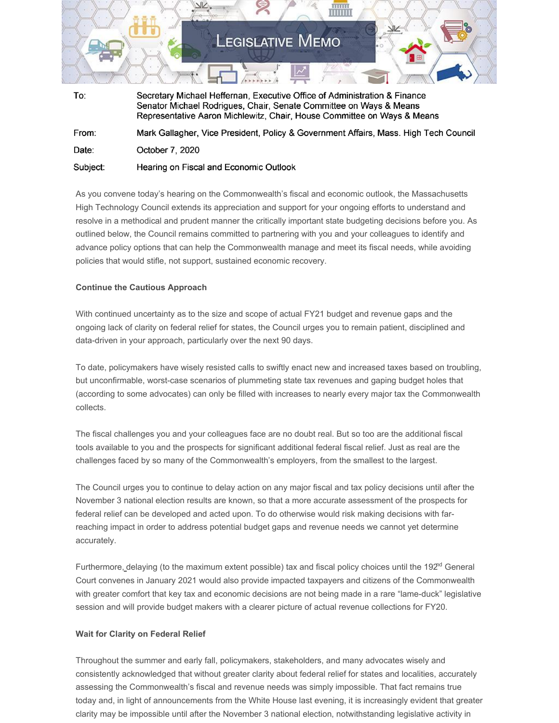

Senator Michael Rodrigues, Chair, Senate Committee on Ways & Means Representative Aaron Michlewitz, Chair, House Committee on Ways & Means From: Mark Gallagher, Vice President, Policy & Government Affairs, Mass. High Tech Council Date: October 7, 2020 Subject: Hearing on Fiscal and Economic Outlook

As you convene today's hearing on the Commonwealth's fiscal and economic outlook, the Massachusetts High Technology Council extends its appreciation and support for your ongoing efforts to understand and resolve in a methodical and prudent manner the critically important state budgeting decisions before you. As outlined below, the Council remains committed to partnering with you and your colleagues to identify and advance policy options that can help the Commonwealth manage and meet its fiscal needs, while avoiding policies that would stifle, not support, sustained economic recovery.

#### **Continue the Cautious Approach**

With continued uncertainty as to the size and scope of actual FY21 budget and revenue gaps and the ongoing lack of clarity on federal relief for states, the Council urges you to remain patient, disciplined and data-driven in your approach, particularly over the next 90 days.

To date, policymakers have wisely resisted calls to swiftly enact new and increased taxes based on troubling, but unconfirmable, worst-case scenarios of plummeting state tax revenues and gaping budget holes that (according to some advocates) can only be filled with increases to nearly every major tax the Commonwealth collects.

The fiscal challenges you and your colleagues face are no doubt real. But so too are the additional fiscal tools available to you and the prospects for significant additional federal fiscal relief. Just as real are the challenges faced by so many of the Commonwealth's employers, from the smallest to the largest.

The Council urges you to continue to delay action on any major fiscal and tax policy decisions until after the November 3 national election results are known, so that a more accurate assessment of the prospects for federal relief can be developed and acted upon. To do otherwise would risk making decisions with farreaching impact in order to address potential budget gaps and revenue needs we cannot yet determine accurately.

Furthermore, delaying (to the maximum extent possible) tax and fiscal policy choices until the 192<sup>nd</sup> General Court convenes in January 2021 would also provide impacted taxpayers and citizens of the Commonwealth with greater comfort that key tax and economic decisions are not being made in a rare "lame-duck" legislative session and will provide budget makers with a clearer picture of actual revenue collections for FY20.

#### **Wait for Clarity on Federal Relief**

Throughout the summer and early fall, policymakers, stakeholders, and many advocates wisely and consistently acknowledged that without greater clarity about federal relief for states and localities, accurately assessing the Commonwealth's fiscal and revenue needs was simply impossible. That fact remains true today and, in light of announcements from the White House last evening, it is increasingly evident that greater clarity may be impossible until after the November 3 national election, notwithstanding legislative activity in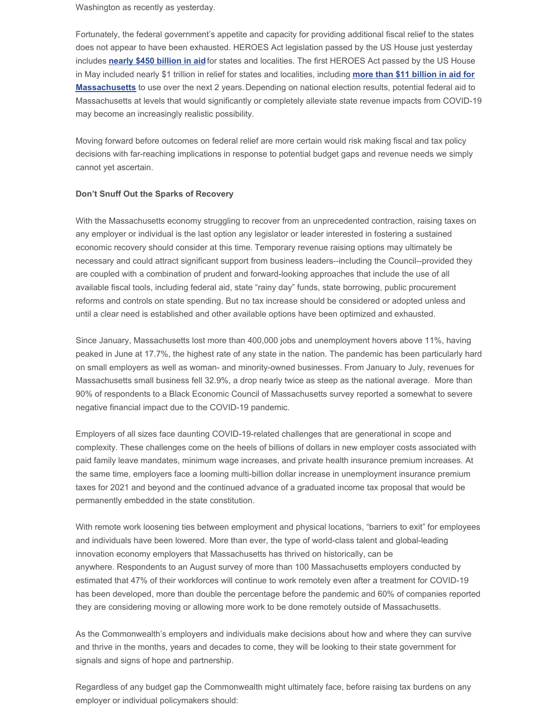Washington as recently as yesterday.

Fortunately, the federal government's appetite and capacity for providing additional fiscal relief to the states does not appear to have been exhausted. HEROES Act legislation passed by the US House just yesterday includes **[nearly](https://appropriations.house.gov/news/press-releases/house-democrats-release-updated-version-of-the-heroes-act) \$450 billion in aid**for states and localities. The first HEROES Act passed by the US House in May included nearly \$1 trillion in relief for states and localities, including **more than \$11 billion in aid for Massachusetts** to use over the next 2 [years.Depending](https://www.cbpp.org/research/state-budget-and-tax/how-much-would-each-state-receive-through-the-coronavirus-state-fiscal) on national election results, potential federal aid to Massachusetts at levels that would significantly or completely alleviate state revenue impacts from COVID-19 may become an increasingly realistic possibility.

Moving forward before outcomes on federal relief are more certain would risk making fiscal and tax policy decisions with far-reaching implications in response to potential budget gaps and revenue needs we simply cannot yet ascertain.

#### **Don't Snuff Out the Sparks of Recovery**

With the Massachusetts economy struggling to recover from an unprecedented contraction, raising taxes on any employer or individual is the last option any legislator or leader interested in fostering a sustained economic recovery should consider at this time. Temporary revenue raising options may ultimately be necessary and could attract significant support from business leaders--including the Council--provided they are coupled with a combination of prudent and forward-looking approaches that include the use of all available fiscal tools, including federal aid, state "rainy day" funds, state borrowing, public procurement reforms and controls on state spending. But no tax increase should be considered or adopted unless and until a clear need is established and other available options have been optimized and exhausted.

Since January, Massachusetts lost more than 400,000 jobs and unemployment hovers above 11%, having peaked in June at 17.7%, the highest rate of any state in the nation. The pandemic has been particularly hard on small employers as well as woman- and minority-owned businesses. From January to July, revenues for Massachusetts small business fell 32.9%, a drop nearly twice as steep as the national average. More than 90% of respondents to a Black Economic Council of Massachusetts survey reported a somewhat to severe negative financial impact due to the COVID-19 pandemic.

Employers of all sizes face daunting COVID-19-related challenges that are generational in scope and complexity. These challenges come on the heels of billions of dollars in new employer costs associated with paid family leave mandates, minimum wage increases, and private health insurance premium increases. At the same time, employers face a looming multi-billion dollar increase in unemployment insurance premium taxes for 2021 and beyond and the continued advance of a graduated income tax proposal that would be permanently embedded in the state constitution.

With remote work loosening ties between employment and physical locations, "barriers to exit" for employees and individuals have been lowered. More than ever, the type of world-class talent and global-leading innovation economy employers that Massachusetts has thrived on historically, can be anywhere. Respondents to an August survey of more than 100 Massachusetts employers conducted by estimated that 47% of their workforces will continue to work remotely even after a treatment for COVID-19 has been developed, more than double the percentage before the pandemic and 60% of companies reported they are considering moving or allowing more work to be done remotely outside of Massachusetts.

As the Commonwealth's employers and individuals make decisions about how and where they can survive and thrive in the months, years and decades to come, they will be looking to their state government for signals and signs of hope and partnership.

Regardless of any budget gap the Commonwealth might ultimately face, before raising tax burdens on any employer or individual policymakers should: